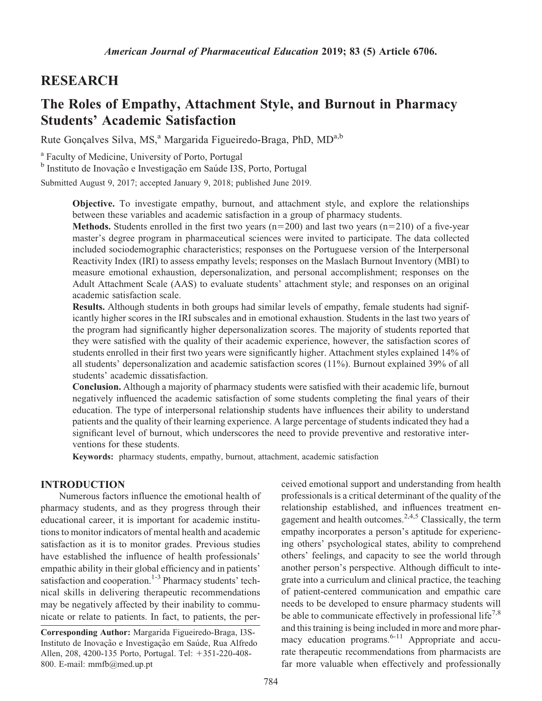# RESEARCH

# The Roles of Empathy, Attachment Style, and Burnout in Pharmacy Students' Academic Satisfaction

Rute Gonçalves Silva, MS,<sup>a</sup> Margarida Figueiredo-Braga, PhD, MD<sup>a,b</sup>

<sup>a</sup> Faculty of Medicine, University of Porto, Portugal

<sup>b</sup> Instituto de Inovação e Investigação em Saúde I3S, Porto, Portugal

Submitted August 9, 2017; accepted January 9, 2018; published June 2019.

Objective. To investigate empathy, burnout, and attachment style, and explore the relationships between these variables and academic satisfaction in a group of pharmacy students.

**Methods.** Students enrolled in the first two years ( $n=200$ ) and last two years ( $n=210$ ) of a five-year master's degree program in pharmaceutical sciences were invited to participate. The data collected included sociodemographic characteristics; responses on the Portuguese version of the Interpersonal Reactivity Index (IRI) to assess empathy levels; responses on the Maslach Burnout Inventory (MBI) to measure emotional exhaustion, depersonalization, and personal accomplishment; responses on the Adult Attachment Scale (AAS) to evaluate students' attachment style; and responses on an original academic satisfaction scale.

Results. Although students in both groups had similar levels of empathy, female students had significantly higher scores in the IRI subscales and in emotional exhaustion. Students in the last two years of the program had significantly higher depersonalization scores. The majority of students reported that they were satisfied with the quality of their academic experience, however, the satisfaction scores of students enrolled in their first two years were significantly higher. Attachment styles explained 14% of all students' depersonalization and academic satisfaction scores (11%). Burnout explained 39% of all students' academic dissatisfaction.

Conclusion. Although a majority of pharmacy students were satisfied with their academic life, burnout negatively influenced the academic satisfaction of some students completing the final years of their education. The type of interpersonal relationship students have influences their ability to understand patients and the quality of their learning experience. A large percentage of students indicated they had a significant level of burnout, which underscores the need to provide preventive and restorative interventions for these students.

Keywords: pharmacy students, empathy, burnout, attachment, academic satisfaction

## INTRODUCTION

Numerous factors influence the emotional health of pharmacy students, and as they progress through their educational career, it is important for academic institutions to monitor indicators of mental health and academic satisfaction as it is to monitor grades. Previous studies have established the influence of health professionals' empathic ability in their global efficiency and in patients' satisfaction and cooperation.<sup>1-3</sup> Pharmacy students' technical skills in delivering therapeutic recommendations may be negatively affected by their inability to communicate or relate to patients. In fact, to patients, the per-

Corresponding Author: Margarida Figueiredo-Braga, I3S-Instituto de Inovação e Investigação em Saúde, Rua Alfredo Allen, 208, 4200-135 Porto, Portugal. Tel: +351-220-408-800. E-mail: [mmfb@med.up.pt](mailto:mmfb@med.up.pt)

ceived emotional support and understanding from health professionals is a critical determinant of the quality of the relationship established, and influences treatment engagement and health outcomes.<sup>2,4,5</sup> Classically, the term empathy incorporates a person's aptitude for experiencing others' psychological states, ability to comprehend others' feelings, and capacity to see the world through another person's perspective. Although difficult to integrate into a curriculum and clinical practice, the teaching of patient-centered communication and empathic care needs to be developed to ensure pharmacy students will be able to communicate effectively in professional life<sup>7,8</sup> and this training is being included in more and more pharmacy education programs. $6-11$  Appropriate and accurate therapeutic recommendations from pharmacists are far more valuable when effectively and professionally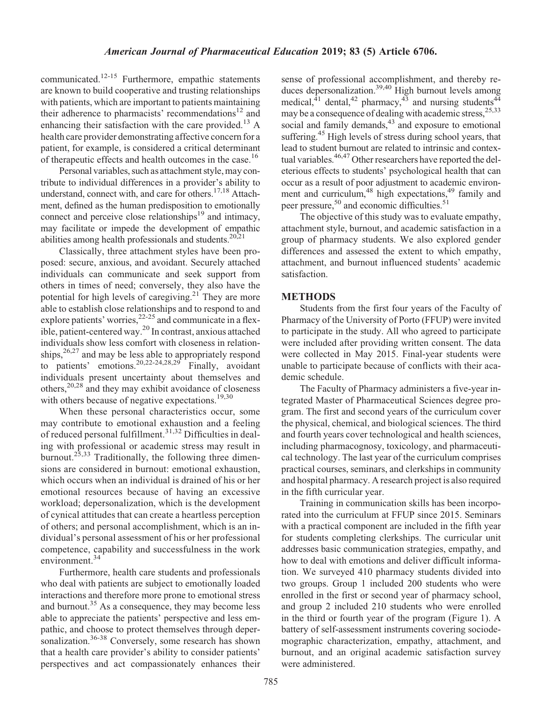communicated.12-15 Furthermore, empathic statements are known to build cooperative and trusting relationships with patients, which are important to patients maintaining their adherence to pharmacists' recommendations<sup>12</sup> and enhancing their satisfaction with the care provided.<sup>13</sup> A health care provider demonstrating affective concern for a patient, for example, is considered a critical determinant of therapeutic effects and health outcomes in the case.<sup>16</sup>

Personal variables, such as attachment style, may contribute to individual differences in a provider's ability to understand, connect with, and care for others. $17,18$  Attachment, defined as the human predisposition to emotionally connect and perceive close relationships $19$  and intimacy, may facilitate or impede the development of empathic abilities among health professionals and students. $20,21$ 

Classically, three attachment styles have been proposed: secure, anxious, and avoidant. Securely attached individuals can communicate and seek support from others in times of need; conversely, they also have the potential for high levels of caregiving.<sup>21</sup> They are more able to establish close relationships and to respond to and explore patients' worries,  $2^{2-25}$  and communicate in a flexible, patient-centered way.<sup>20</sup> In contrast, anxious attached individuals show less comfort with closeness in relationships, $26,27$  and may be less able to appropriately respond to patients' emotions.<sup>20,22-24,28,29</sup> Finally, avoidant individuals present uncertainty about themselves and others, $20,28$  and they may exhibit avoidance of closeness with others because of negative expectations.<sup>19,30</sup>

When these personal characteristics occur, some may contribute to emotional exhaustion and a feeling of reduced personal fulfillment.31,32 Difficulties in dealing with professional or academic stress may result in burnout.<sup>25,33</sup> Traditionally, the following three dimensions are considered in burnout: emotional exhaustion, which occurs when an individual is drained of his or her emotional resources because of having an excessive workload; depersonalization, which is the development of cynical attitudes that can create a heartless perception of others; and personal accomplishment, which is an individual's personal assessment of his or her professional competence, capability and successfulness in the work environment.<sup>34</sup>

Furthermore, health care students and professionals who deal with patients are subject to emotionally loaded interactions and therefore more prone to emotional stress and burnout.<sup>35</sup> As a consequence, they may become less able to appreciate the patients' perspective and less empathic, and choose to protect themselves through depersonalization.<sup>36-38</sup> Conversely, some research has shown that a health care provider's ability to consider patients' perspectives and act compassionately enhances their

sense of professional accomplishment, and thereby reduces depersonalization.<sup>39,40</sup> High burnout levels among medical, $^{41}$  dental, $^{42}$  pharmacy, $^{43}$  and nursing students<sup>44</sup> may be a consequence of dealing with academic stress,<sup>25,33</sup> social and family demands, $43$  and exposure to emotional suffering.<sup>45</sup> High levels of stress during school years, that lead to student burnout are related to intrinsic and contextual variables.<sup>46,47</sup> Other researchers have reported the deleterious effects to students' psychological health that can occur as a result of poor adjustment to academic environment and curriculum,<sup>48</sup> high expectations,<sup>49</sup> family and peer pressure,<sup>50</sup> and economic difficulties.<sup>51</sup>

The objective of this study was to evaluate empathy, attachment style, burnout, and academic satisfaction in a group of pharmacy students. We also explored gender differences and assessed the extent to which empathy, attachment, and burnout influenced students' academic satisfaction.

#### METHODS

Students from the first four years of the Faculty of Pharmacy of the University of Porto (FFUP) were invited to participate in the study. All who agreed to participate were included after providing written consent. The data were collected in May 2015. Final-year students were unable to participate because of conflicts with their academic schedule.

The Faculty of Pharmacy administers a five-year integrated Master of Pharmaceutical Sciences degree program. The first and second years of the curriculum cover the physical, chemical, and biological sciences. The third and fourth years cover technological and health sciences, including pharmacognosy, toxicology, and pharmaceutical technology. The last year of the curriculum comprises practical courses, seminars, and clerkships in community and hospital pharmacy. A research project is also required in the fifth curricular year.

Training in communication skills has been incorporated into the curriculum at FFUP since 2015. Seminars with a practical component are included in the fifth year for students completing clerkships. The curricular unit addresses basic communication strategies, empathy, and how to deal with emotions and deliver difficult information. We surveyed 410 pharmacy students divided into two groups. Group 1 included 200 students who were enrolled in the first or second year of pharmacy school, and group 2 included 210 students who were enrolled in the third or fourth year of the program (Figure 1). A battery of self-assessment instruments covering sociodemographic characterization, empathy, attachment, and burnout, and an original academic satisfaction survey were administered.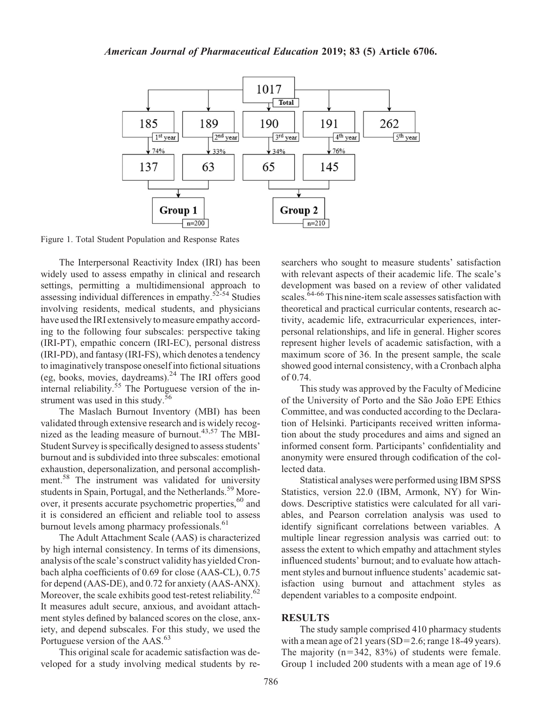

Figure 1. Total Student Population and Response Rates

The Interpersonal Reactivity Index (IRI) has been widely used to assess empathy in clinical and research settings, permitting a multidimensional approach to assessing individual differences in empathy.<sup>52-54</sup> Studies involving residents, medical students, and physicians have used the IRI extensively to measure empathy according to the following four subscales: perspective taking (IRI-PT), empathic concern (IRI-EC), personal distress (IRI-PD), and fantasy (IRI-FS), which denotes a tendency to imaginatively transpose oneself into fictional situations (eg, books, movies, daydreams). $24$  The IRI offers good internal reliability.<sup>55</sup> The Portuguese version of the instrument was used in this study.<sup>56</sup>

The Maslach Burnout Inventory (MBI) has been validated through extensive research and is widely recognized as the leading measure of burnout. $43,57$  The MBI-Student Survey is specifically designed to assess students' burnout and is subdivided into three subscales: emotional exhaustion, depersonalization, and personal accomplishment.<sup>58</sup> The instrument was validated for university students in Spain, Portugal, and the Netherlands.<sup>59</sup> Moreover, it presents accurate psychometric properties,<sup>60</sup> and it is considered an efficient and reliable tool to assess burnout levels among pharmacy professionals.<sup>61</sup>

The Adult Attachment Scale (AAS) is characterized by high internal consistency. In terms of its dimensions, analysis of the scale's construct validity has yielded Cronbach alpha coefficients of 0.69 for close (AAS-CL), 0.75 for depend (AAS-DE), and 0.72 for anxiety (AAS-ANX). Moreover, the scale exhibits good test-retest reliability.<sup>62</sup> It measures adult secure, anxious, and avoidant attachment styles defined by balanced scores on the close, anxiety, and depend subscales. For this study, we used the Portuguese version of the AAS.<sup>63</sup>

This original scale for academic satisfaction was developed for a study involving medical students by researchers who sought to measure students' satisfaction with relevant aspects of their academic life. The scale's development was based on a review of other validated scales.<sup>64-66</sup> This nine-item scale assesses satisfaction with theoretical and practical curricular contents, research activity, academic life, extracurricular experiences, interpersonal relationships, and life in general. Higher scores represent higher levels of academic satisfaction, with a maximum score of 36. In the present sample, the scale showed good internal consistency, with a Cronbach alpha of 0.74.

This study was approved by the Faculty of Medicine of the University of Porto and the São João EPE Ethics Committee, and was conducted according to the Declaration of Helsinki. Participants received written information about the study procedures and aims and signed an informed consent form. Participants' confidentiality and anonymity were ensured through codification of the collected data.

Statistical analyses were performed using IBM SPSS Statistics, version 22.0 (IBM, Armonk, NY) for Windows. Descriptive statistics were calculated for all variables, and Pearson correlation analysis was used to identify significant correlations between variables. A multiple linear regression analysis was carried out: to assess the extent to which empathy and attachment styles influenced students' burnout; and to evaluate how attachment styles and burnout influence students' academic satisfaction using burnout and attachment styles as dependent variables to a composite endpoint.

#### RESULTS

The study sample comprised 410 pharmacy students with a mean age of 21 years (SD=2.6; range 18-49 years). The majority  $(n=342, 83%)$  of students were female. Group 1 included 200 students with a mean age of 19.6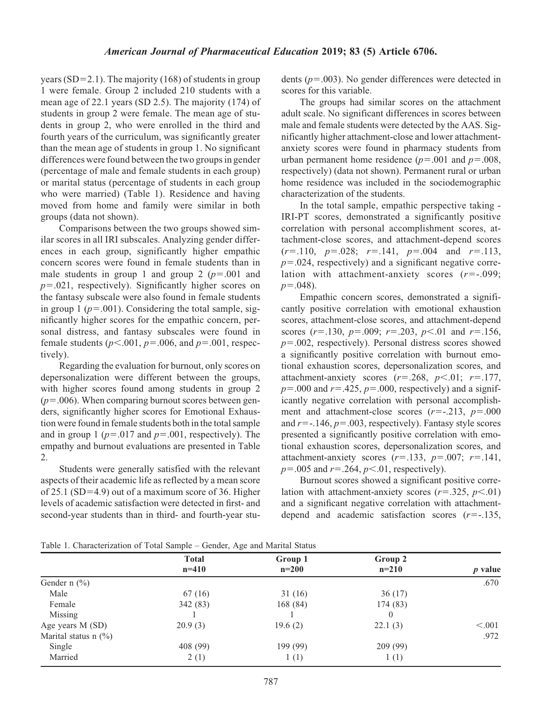years ( $SD=2.1$ ). The majority (168) of students in group 1 were female. Group 2 included 210 students with a mean age of 22.1 years (SD 2.5). The majority (174) of students in group 2 were female. The mean age of students in group 2, who were enrolled in the third and fourth years of the curriculum, was significantly greater than the mean age of students in group 1. No significant differences were found between the two groups in gender (percentage of male and female students in each group) or marital status (percentage of students in each group who were married) (Table 1). Residence and having moved from home and family were similar in both groups (data not shown).

Comparisons between the two groups showed similar scores in all IRI subscales. Analyzing gender differences in each group, significantly higher empathic concern scores were found in female students than in male students in group 1 and group 2 ( $p=.001$  and  $p=0.021$ , respectively). Significantly higher scores on the fantasy subscale were also found in female students in group 1 ( $p=.001$ ). Considering the total sample, significantly higher scores for the empathic concern, personal distress, and fantasy subscales were found in female students ( $p<.001$ ,  $p=.006$ , and  $p=.001$ , respectively).

Regarding the evaluation for burnout, only scores on depersonalization were different between the groups, with higher scores found among students in group 2  $(p=0.006)$ . When comparing burnout scores between genders, significantly higher scores for Emotional Exhaustion were found in female students both in the total sample and in group 1 ( $p=.017$  and  $p=.001$ , respectively). The empathy and burnout evaluations are presented in Table 2.

Students were generally satisfied with the relevant aspects of their academic life as reflected by a mean score of 25.1 (SD=4.9) out of a maximum score of 36. Higher levels of academic satisfaction were detected in first- and second-year students than in third- and fourth-year students ( $p=0.003$ ). No gender differences were detected in scores for this variable.

The groups had similar scores on the attachment adult scale. No significant differences in scores between male and female students were detected by the AAS. Significantly higher attachment-close and lower attachmentanxiety scores were found in pharmacy students from urban permanent home residence ( $p=.001$  and  $p=.008$ , respectively) (data not shown). Permanent rural or urban home residence was included in the sociodemographic characterization of the students.

In the total sample, empathic perspective taking - IRI-PT scores, demonstrated a significantly positive correlation with personal accomplishment scores, attachment-close scores, and attachment-depend scores  $(r=.110, p=.028; r=.141, p=.004$  and  $r=.113$ ,  $p=0.024$ , respectively) and a significant negative correlation with attachment-anxiety scores  $(r=-.099)$ ;  $p=.048$ ).

Empathic concern scores, demonstrated a significantly positive correlation with emotional exhaustion scores, attachment-close scores, and attachment-depend scores  $(r=.130, p=.009; r=.203, p<.01$  and  $r=.156,$  $p=0.002$ , respectively). Personal distress scores showed a significantly positive correlation with burnout emotional exhaustion scores, depersonalization scores, and attachment-anxiety scores  $(r=.268, p<.01; r=.177,$  $p=.000$  and  $r=.425$ ,  $p=.000$ , respectively) and a significantly negative correlation with personal accomplishment and attachment-close scores  $(r=-.213, p=.000$ and  $r=-.146$ ,  $p=.003$ , respectively). Fantasy style scores presented a significantly positive correlation with emotional exhaustion scores, depersonalization scores, and attachment-anxiety scores  $(r=.133, p=.007; r=.141,$  $p = 0.005$  and  $r = 0.264$ ,  $p < 0.01$ , respectively).

Burnout scores showed a significant positive correlation with attachment-anxiety scores  $(r=.325, p<.01)$ and a significant negative correlation with attachmentdepend and academic satisfaction scores  $(r=-135,$ 

| Table 1. Characterization of Total Sample - Gender, Age and Marital Status |  |  |  |  |
|----------------------------------------------------------------------------|--|--|--|--|
|----------------------------------------------------------------------------|--|--|--|--|

|                         | <b>Total</b><br>$n=410$ | Group 1<br>$n=200$ | Group 2<br>$n=210$ | $p$ value |
|-------------------------|-------------------------|--------------------|--------------------|-----------|
| Gender $n$ (%)          |                         |                    |                    | .670      |
| Male                    | 67 (16)                 | 31(16)             | 36(17)             |           |
| Female                  | 342 (83)                | 168 (84)           | 174 (83)           |           |
| Missing                 |                         |                    |                    |           |
| Age years M (SD)        | 20.9(3)                 | 19.6(2)            | 22.1(3)            | < 0.001   |
| Marital status n $(\%)$ |                         |                    |                    | .972      |
| Single                  | 408 (99)                | 199 (99)           | 209(99)            |           |
| Married                 | 2(1)                    | 1(1)               | 1(1)               |           |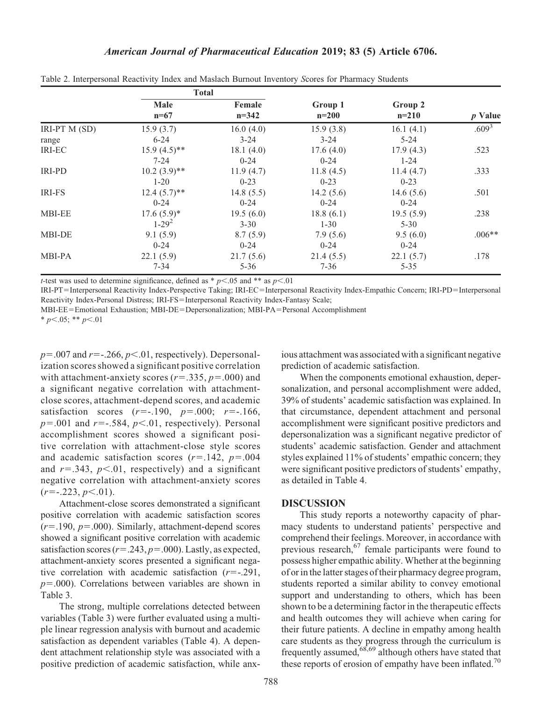|               | <b>Total</b>          |                   |                    |                    |                   |
|---------------|-----------------------|-------------------|--------------------|--------------------|-------------------|
|               | <b>Male</b><br>$n=67$ | Female<br>$n=342$ | Group 1<br>$n=200$ | Group 2<br>$n=210$ | <i>p</i> Value    |
| IRI-PT M (SD) | 15.9(3.7)             | 16.0(4.0)         | 15.9(3.8)          | 16.1(4.1)          | .609 <sup>3</sup> |
| range         | $6 - 24$              | $3 - 24$          | $3 - 24$           | $5 - 24$           |                   |
| IRI-EC        | $15.9(4.5)$ **        | 18.1(4.0)         | 17.6(4.0)          | 17.9(4.3)          | .523              |
|               | $7 - 24$              | $0 - 24$          | $0 - 24$           | $1 - 24$           |                   |
| <b>IRI-PD</b> | $10.2 (3.9)$ **       | 11.9(4.7)         | 11.8(4.5)          | 11.4(4.7)          | .333              |
|               | $1 - 20$              | $0 - 23$          | $0 - 23$           | $0 - 23$           |                   |
| <b>IRI-FS</b> | $12.4(5.7)$ **        | 14.8(5.5)         | 14.2(5.6)          | 14.6 $(5.6)$       | .501              |
|               | $0 - 24$              | $0 - 24$          | $0 - 24$           | $0 - 24$           |                   |
| <b>MBI-EE</b> | $17.6(5.9)*$          | 19.5(6.0)         | 18.8(6.1)          | 19.5(5.9)          | .238              |
|               | $1 - 29^2$            | $3 - 30$          | $1 - 30$           | $5 - 30$           |                   |
| <b>MBI-DE</b> | 9.1(5.9)              | 8.7(5.9)          | 7.9(5.6)           | 9.5(6.0)           | $.006**$          |
|               | $0 - 24$              | $0 - 24$          | $0 - 24$           | $0 - 24$           |                   |
| MBI-PA        | 22.1(5.9)             | 21.7(5.6)         | 21.4(5.5)          | 22.1(5.7)          | .178              |
|               | $7 - 34$              | $5 - 36$          | $7 - 36$           | $5 - 35$           |                   |

Table 2. Interpersonal Reactivity Index and Maslach Burnout Inventory Scores for Pharmacy Students

*t*-test was used to determine significance, defined as  $* p<.05$  and  $**$  as  $p<.01$ 

IRI-PT=Interpersonal Reactivity Index-Perspective Taking; IRI-EC=Interpersonal Reactivity Index-Empathic Concern; IRI-PD=Interpersonal Reactivity Index-Personal Distress; IRI-FS=Interpersonal Reactivity Index-Fantasy Scale;

MBI-EE=Emotional Exhaustion; MBI-DE=Depersonalization; MBI-PA=Personal Accomplishment

\*  $p<.05$ ; \*\*  $p<.01$ 

 $p=.007$  and  $r=-.266$ ,  $p<.01$ , respectively). Depersonalization scores showed a significant positive correlation with attachment-anxiety scores ( $r=.335$ ,  $p=.000$ ) and a significant negative correlation with attachmentclose scores, attachment-depend scores, and academic satisfaction scores  $(r=-.190, p=.000; r=-.166,$  $p=.001$  and  $r=-.584$ ,  $p<.01$ , respectively). Personal accomplishment scores showed a significant positive correlation with attachment-close style scores and academic satisfaction scores  $(r=142, p=0.04)$ and  $r=.343$ ,  $p<.01$ , respectively) and a significant negative correlation with attachment-anxiety scores  $(r=-.223, p<.01).$ 

Attachment-close scores demonstrated a significant positive correlation with academic satisfaction scores  $(r=190, p=000)$ . Similarly, attachment-depend scores showed a significant positive correlation with academic satisfaction scores ( $r = .243$ ,  $p = .000$ ). Lastly, as expected, attachment-anxiety scores presented a significant negative correlation with academic satisfaction  $(r=-.291,$  $p=0.00$ ). Correlations between variables are shown in Table 3.

The strong, multiple correlations detected between variables (Table 3) were further evaluated using a multiple linear regression analysis with burnout and academic satisfaction as dependent variables (Table 4). A dependent attachment relationship style was associated with a positive prediction of academic satisfaction, while anx-

ious attachment was associated with a significant negative prediction of academic satisfaction.

When the components emotional exhaustion, depersonalization, and personal accomplishment were added, 39% of students' academic satisfaction was explained. In that circumstance, dependent attachment and personal accomplishment were significant positive predictors and depersonalization was a significant negative predictor of students' academic satisfaction. Gender and attachment styles explained 11% of students' empathic concern; they were significant positive predictors of students' empathy, as detailed in Table 4.

#### **DISCUSSION**

This study reports a noteworthy capacity of pharmacy students to understand patients' perspective and comprehend their feelings. Moreover, in accordance with previous research,  $67$  female participants were found to possess higher empathic ability. Whether at the beginning of or in the latter stages of their pharmacy degree program, students reported a similar ability to convey emotional support and understanding to others, which has been shown to be a determining factor in the therapeutic effects and health outcomes they will achieve when caring for their future patients. A decline in empathy among health care students as they progress through the curriculum is frequently assumed,68,69 although others have stated that these reports of erosion of empathy have been inflated.<sup>70</sup>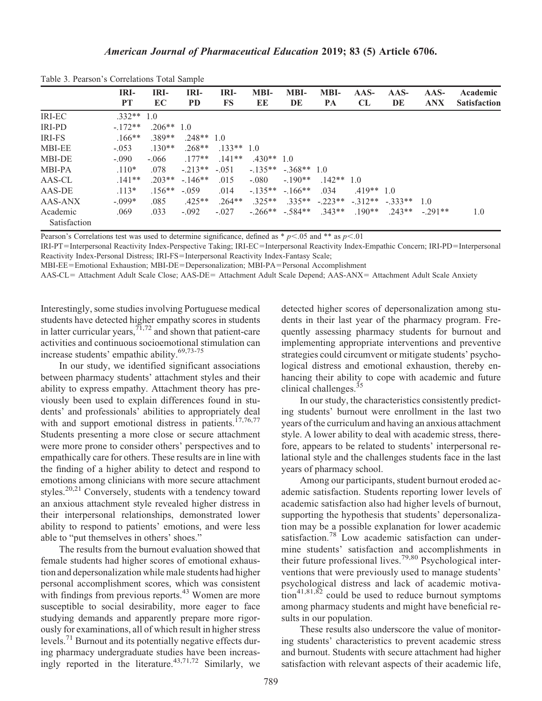|               | IRI-         | IRI-         | IRI-         | IRI-      | <b>MBI-</b>  | <b>MBI-</b>          | <b>MBI-</b> | $AAS-$                              | $AAS-$  | $AAS-$     | Academic            |
|---------------|--------------|--------------|--------------|-----------|--------------|----------------------|-------------|-------------------------------------|---------|------------|---------------------|
|               | <b>PT</b>    | EC           | <b>PD</b>    | FS        | EE           | DE                   | PA          | CL                                  | DE      | <b>ANX</b> | <b>Satisfaction</b> |
| <b>IRI-EC</b> | $.332**$ 1.0 |              |              |           |              |                      |             |                                     |         |            |                     |
| <b>IRI-PD</b> | $-172**$     | $.206**$ 1.0 |              |           |              |                      |             |                                     |         |            |                     |
| <b>IRI-FS</b> | $.166**$     | $.389**$     | $.248**$ 1.0 |           |              |                      |             |                                     |         |            |                     |
| <b>MBI-EE</b> | $-.053$      | $.130**$     | $.268**$     | $133**10$ |              |                      |             |                                     |         |            |                     |
| <b>MBI-DE</b> | $-.090$      | $-.066$      | $177**$      | $.141**$  | $.430**$ 1.0 |                      |             |                                     |         |            |                     |
| MBI-PA        | $.110*$      | .078         | $-213**$     | $-.051$   |              | $-135** - 368** 1.0$ |             |                                     |         |            |                     |
| AAS-CL        | $.141**$     | $203**$      | $-146**$     | .015      | $-.080$      | $-190**$             | $142**$ 1.0 |                                     |         |            |                     |
| AAS-DE        | $.113*$      | $.156**$     | $-.059$      | .014      | $-135**$     | $-166$ **            | .034        | $.419**$ 1.0                        |         |            |                     |
| AAS-ANX       | $-.099*$     | .085         | $.425**$     | $.264**$  | $.325**$     |                      |             | $.335**$ $.223**$ $.312**$ $.333**$ |         | 1.0        |                     |
| Academic      | .069         | .033         | $-.092$      | $-.027$   |              | $-.266**-.584**$     | $.343**$    | $.190**$                            | $243**$ | $-291**$   | 1.0                 |
| Satisfaction  |              |              |              |           |              |                      |             |                                     |         |            |                     |

Table 3. Pearson's Correlations Total Sample

Pearson's Correlations test was used to determine significance, defined as  $* p<.05$  and  $**$  as  $p<.01$ 

IRI-PT=Interpersonal Reactivity Index-Perspective Taking; IRI-EC=Interpersonal Reactivity Index-Empathic Concern; IRI-PD=Interpersonal Reactivity Index-Personal Distress; IRI-FS=Interpersonal Reactivity Index-Fantasy Scale;

MBI-EE=Emotional Exhaustion; MBI-DE=Depersonalization; MBI-PA=Personal Accomplishment

AAS-CL= Attachment Adult Scale Close; AAS-DE= Attachment Adult Scale Depend; AAS-ANX= Attachment Adult Scale Anxiety

Interestingly, some studies involving Portuguese medical students have detected higher empathy scores in students in latter curricular years,  $\frac{71,72}{2}$  and shown that patient-care activities and continuous socioemotional stimulation can increase students' empathic ability.69,73-75

In our study, we identified significant associations between pharmacy students' attachment styles and their ability to express empathy. Attachment theory has previously been used to explain differences found in students' and professionals' abilities to appropriately deal with and support emotional distress in patients.<sup>17,76,77</sup> Students presenting a more close or secure attachment were more prone to consider others' perspectives and to empathically care for others. These results are in line with the finding of a higher ability to detect and respond to emotions among clinicians with more secure attachment styles.<sup>20,21</sup> Conversely, students with a tendency toward an anxious attachment style revealed higher distress in their interpersonal relationships, demonstrated lower ability to respond to patients' emotions, and were less able to "put themselves in others' shoes."

The results from the burnout evaluation showed that female students had higher scores of emotional exhaustion and depersonalization while male students had higher personal accomplishment scores, which was consistent with findings from previous reports. $43$  Women are more susceptible to social desirability, more eager to face studying demands and apparently prepare more rigorously for examinations, all of which result in higher stress levels.<sup>71</sup> Burnout and its potentially negative effects during pharmacy undergraduate studies have been increasingly reported in the literature.<sup>43,71,72</sup> Similarly, we

detected higher scores of depersonalization among students in their last year of the pharmacy program. Frequently assessing pharmacy students for burnout and implementing appropriate interventions and preventive strategies could circumvent or mitigate students' psychological distress and emotional exhaustion, thereby enhancing their ability to cope with academic and future clinical challenges.<sup>35</sup>

In our study, the characteristics consistently predicting students' burnout were enrollment in the last two years of the curriculum and having an anxious attachment style. A lower ability to deal with academic stress, therefore, appears to be related to students' interpersonal relational style and the challenges students face in the last years of pharmacy school.

Among our participants, student burnout eroded academic satisfaction. Students reporting lower levels of academic satisfaction also had higher levels of burnout, supporting the hypothesis that students' depersonalization may be a possible explanation for lower academic satisfaction.<sup>78</sup> Low academic satisfaction can undermine students' satisfaction and accomplishments in their future professional lives.79,80 Psychological interventions that were previously used to manage students' psychological distress and lack of academic motiva- $\text{tion}^{41,81,\overline{82}}$  could be used to reduce burnout symptoms among pharmacy students and might have beneficial results in our population.

These results also underscore the value of monitoring students' characteristics to prevent academic stress and burnout. Students with secure attachment had higher satisfaction with relevant aspects of their academic life,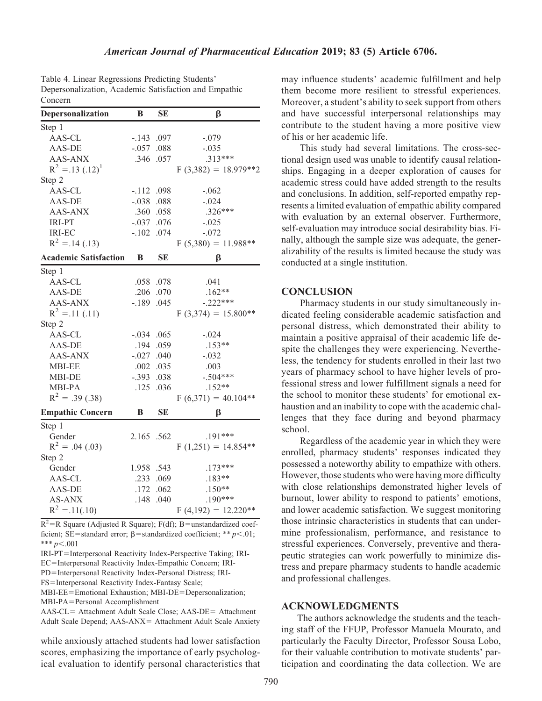| Table 4. Linear Regressions Predicting Students'      |
|-------------------------------------------------------|
| Depersonalization, Academic Satisfaction and Empathic |
| Concern                                               |

| Depersonalization            | B            | <b>SE</b> | β                      |
|------------------------------|--------------|-----------|------------------------|
| Step 1                       |              |           |                        |
| AAS-CL                       | $-.143$      | .097      | $-.079$                |
| AAS-DE                       | $-.057$      | .088      | $-.035$                |
| AAS-ANX                      |              | .346 .057 | $.313***$              |
| $R^2 = .13$ $(.12)^1$        |              |           | $F(3,382) = 18.979**2$ |
| Step 2                       |              |           |                        |
| AAS-CL                       | $-.112$ .098 |           | $-.062$                |
| AAS-DE                       | $-.038$      | .088      | $-.024$                |
| AAS-ANX                      |              | .360 .058 | $.326***$              |
| <b>IRI-PT</b>                | $-.037$      | .076      | $-.025$                |
| <b>IRI-EC</b>                | $-.102$      | .074      | $-.072$                |
| $R^2 = 0.14$ (.13)           |              |           | $F(5,380) = 11.988**$  |
| <b>Academic Satisfaction</b> | B            | <b>SE</b> | β                      |
| Step 1                       |              |           |                        |
| AAS-CL                       |              | .058 .078 | .041                   |
| AAS-DE                       | .206         | .070      | $.162**$               |
| <b>AAS-ANX</b>               | $-.189$      | .045      | $-.222***$             |
| $R^2 = 0.11$ (.11)           |              |           | $F(3,374) = 15.800**$  |
| Step 2                       |              |           |                        |
| AAS-CL                       | $-.034$ .065 |           | $-.024$                |
| AAS-DE                       | .194         | .059      | $.153**$               |
| <b>AAS-ANX</b>               | $-.027$      | .040      | $-.032$                |
| <b>MBI-EE</b>                | .002         | .035      | .003                   |
| MBI-DE                       | $-.393$      | .038      | $-.504***$             |
| <b>MBI-PA</b>                | .125         | .036      | $.152**$               |
| $R^2 = .39(.38)$             |              |           | $F(6,371) = 40.104**$  |
| <b>Empathic Concern</b>      | B            | <b>SE</b> | β                      |
| Step 1                       |              |           |                        |
| Gender                       | 2.165 .562   |           | $.191***$              |
| $R^2 = .04$ (.03)            |              |           | $F(1,251) = 14.854**$  |
| Step 2                       |              |           |                        |
| Gender                       | 1.958 .543   |           | $.173***$              |
| AAS-CL                       | .233         | .069      | $.183**$               |
| AAS-DE                       | .172         | .062      | $.150**$               |
| <b>AS-ANX</b>                | .148         | .040      | $.190***$              |
| $R^2 = .11(.10)$             |              |           | $F(4,192) = 12.220**$  |

 $R^2$ =R Square (Adjusted R Square); F(df); B=unstandardized coefficient; SE=standard error;  $\beta$ =standardized coefficient; \*\* p<.01; \*\*\*  $p<.001$ 

IRI-PT=Interpersonal Reactivity Index-Perspective Taking; IRI-EC=Interpersonal Reactivity Index-Empathic Concern; IRI-

PD=Interpersonal Reactivity Index-Personal Distress; IRI-

FS=Interpersonal Reactivity Index-Fantasy Scale;

MBI-EE=Emotional Exhaustion; MBI-DE=Depersonalization; MBI-PA=Personal Accomplishment

AAS-CL= Attachment Adult Scale Close; AAS-DE= Attachment Adult Scale Depend; AAS-ANX= Attachment Adult Scale Anxiety

while anxiously attached students had lower satisfaction scores, emphasizing the importance of early psychological evaluation to identify personal characteristics that

790

may influence students' academic fulfillment and help them become more resilient to stressful experiences. Moreover, a student's ability to seek support from others and have successful interpersonal relationships may contribute to the student having a more positive view of his or her academic life.

This study had several limitations. The cross-sectional design used was unable to identify causal relationships. Engaging in a deeper exploration of causes for academic stress could have added strength to the results and conclusions. In addition, self-reported empathy represents a limited evaluation of empathic ability compared with evaluation by an external observer. Furthermore, self-evaluation may introduce social desirability bias. Finally, although the sample size was adequate, the generalizability of the results is limited because the study was conducted at a single institution.

# **CONCLUSION**

Pharmacy students in our study simultaneously indicated feeling considerable academic satisfaction and personal distress, which demonstrated their ability to maintain a positive appraisal of their academic life despite the challenges they were experiencing. Nevertheless, the tendency for students enrolled in their last two years of pharmacy school to have higher levels of professional stress and lower fulfillment signals a need for the school to monitor these students' for emotional exhaustion and an inability to cope with the academic challenges that they face during and beyond pharmacy school.

Regardless of the academic year in which they were enrolled, pharmacy students' responses indicated they possessed a noteworthy ability to empathize with others. However, those students who were having more difficulty with close relationships demonstrated higher levels of burnout, lower ability to respond to patients' emotions, and lower academic satisfaction. We suggest monitoring those intrinsic characteristics in students that can undermine professionalism, performance, and resistance to stressful experiences. Conversely, preventive and therapeutic strategies can work powerfully to minimize distress and prepare pharmacy students to handle academic and professional challenges.

#### ACKNOWLEDGMENTS

The authors acknowledge the students and the teaching staff of the FFUP, Professor Manuela Mourato, and particularly the Faculty Director, Professor Sousa Lobo, for their valuable contribution to motivate students' participation and coordinating the data collection. We are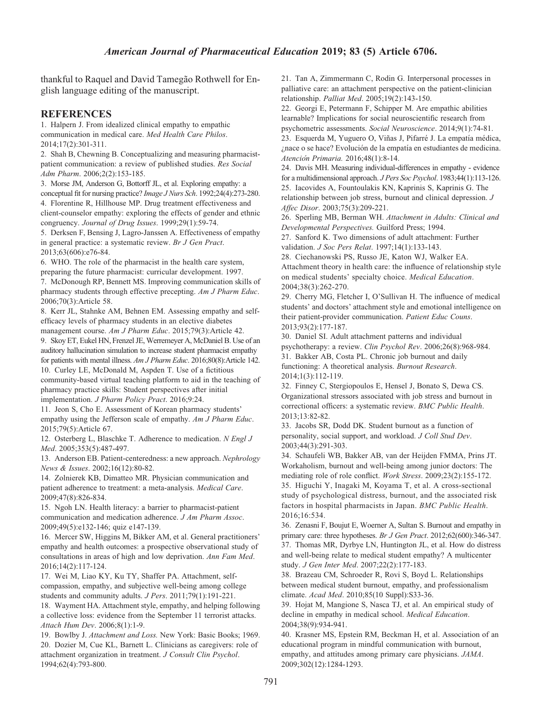thankful to Raquel and David Tamegão Rothwell for English language editing of the manuscript.

# **REFERENCES**

1. Halpern J. From idealized clinical empathy to empathic communication in medical care. Med Health Care Philos. 2014;17(2):301-311.

2. Shah B, Chewning B. Conceptualizing and measuring pharmacistpatient communication: a review of published studies. Res Social Adm Pharm. 2006;2(2):153-185.

3. Morse JM, Anderson G, Bottorff JL, et al. Exploring empathy: a conceptual fit for nursing practice? Image J Nurs Sch. 1992;24(4):273-280. 4. Florentine R, Hillhouse MP. Drug treatment effectiveness and client-counselor empathy: exploring the effects of gender and ethnic

congruency. Journal of Drug Issues. 1999;29(1):59-74.

5. Derksen F, Bensing J, Lagro-Janssen A. Effectiveness of empathy in general practice: a systematic review. Br J Gen Pract. 2013;63(606):e76-84.

6. WHO. The role of the pharmacist in the health care system, preparing the future pharmacist: curricular development. 1997. 7. McDonough RP, Bennett MS. Improving communication skills of

pharmacy students through effective precepting. Am J Pharm Educ. 2006;70(3):Article 58.

8. Kerr JL, Stahnke AM, Behnen EM. Assessing empathy and selfefficacy levels of pharmacy students in an elective diabetes management course. Am J Pharm Educ. 2015;79(3):Article 42.

9. Skoy ET, Eukel HN, Frenzel JE, Werremeyer A, McDaniel B. Use of an auditory hallucination simulation to increase student pharmacist empathy for patients with mental illness. Am J Pharm Educ. 2016;80(8):Article 142.

10. Curley LE, McDonald M, Aspden T. Use of a fictitious community-based virtual teaching platform to aid in the teaching of pharmacy practice skills: Student perspectives after initial implementation. J Pharm Policy Pract. 2016;9:24.

11. Jeon S, Cho E. Assessment of Korean pharmacy students' empathy using the Jefferson scale of empathy. Am J Pharm Educ. 2015;79(5):Article 67.

12. Osterberg L, Blaschke T. Adherence to medication. N Engl J Med. 2005;353(5):487-497.

13. Anderson EB. Patient-centeredness: a new approach. Nephrology News & Issues. 2002;16(12):80-82.

14. Zolnierek KB, Dimatteo MR. Physician communication and patient adherence to treatment: a meta-analysis. Medical Care. 2009;47(8):826-834.

15. Ngoh LN. Health literacy: a barrier to pharmacist-patient communication and medication adherence. J Am Pharm Assoc. 2009;49(5):e132-146; quiz e147-139.

16. Mercer SW, Higgins M, Bikker AM, et al. General practitioners' empathy and health outcomes: a prospective observational study of consultations in areas of high and low deprivation. Ann Fam Med. 2016;14(2):117-124.

17. Wei M, Liao KY, Ku TY, Shaffer PA. Attachment, selfcompassion, empathy, and subjective well-being among college students and community adults. J Pers. 2011;79(1):191-221.

18. Wayment HA. Attachment style, empathy, and helping following a collective loss: evidence from the September 11 terrorist attacks. Attach Hum Dev. 2006;8(1):1-9.

19. Bowlby J. Attachment and Loss. New York: Basic Books; 1969. 20. Dozier M, Cue KL, Barnett L. Clinicians as caregivers: role of attachment organization in treatment. J Consult Clin Psychol. 1994;62(4):793-800.

21. Tan A, Zimmermann C, Rodin G. Interpersonal processes in palliative care: an attachment perspective on the patient-clinician relationship. Palliat Med. 2005;19(2):143-150.

22. Georgi E, Petermann F, Schipper M. Are empathic abilities learnable? Implications for social neuroscientific research from psychometric assessments. Social Neuroscience. 2014;9(1):74-81.

23. Esquerda M, Yuguero O, Viñas J, Pifarré J. La empatía médica, ¿nace o se hace? Evolución de la empatía en estudiantes de medicina. Atencio´n Primaria. 2016;48(1):8-14.

24. Davis MH. Measuring individual-differences in empathy - evidence for a multidimensional approach. J Pers Soc Psychol. 1983;44(1):113-126. 25. Iacovides A, Fountoulakis KN, Kaprinis S, Kaprinis G. The relationship between job stress, burnout and clinical depression. J Affec Disor. 2003;75(3):209-221.

26. Sperling MB, Berman WH. Attachment in Adults: Clinical and Developmental Perspectives. Guilford Press; 1994.

27. Sanford K. Two dimensions of adult attachment: Further validation. J Soc Pers Relat. 1997;14(1):133-143.

28. Ciechanowski PS, Russo JE, Katon WJ, Walker EA. Attachment theory in health care: the influence of relationship style on medical students' specialty choice. Medical Education. 2004;38(3):262-270.

29. Cherry MG, Fletcher I, O'Sullivan H. The influence of medical students' and doctors' attachment style and emotional intelligence on their patient-provider communication. Patient Educ Couns. 2013;93(2):177-187.

30. Daniel SI. Adult attachment patterns and individual psychotherapy: a review. Clin Psychol Rev. 2006;26(8):968-984. 31. Bakker AB, Costa PL. Chronic job burnout and daily functioning: A theoretical analysis. Burnout Research. 2014;1(3):112-119.

32. Finney C, Stergiopoulos E, Hensel J, Bonato S, Dewa CS. Organizational stressors associated with job stress and burnout in correctional officers: a systematic review. BMC Public Health. 2013;13:82-82.

33. Jacobs SR, Dodd DK. Student burnout as a function of personality, social support, and workload. J Coll Stud Dev. 2003;44(3):291-303.

34. Schaufeli WB, Bakker AB, van der Heijden FMMA, Prins JT. Workaholism, burnout and well-being among junior doctors: The mediating role of role conflict. Work Stress. 2009;23(2):155-172. 35. Higuchi Y, Inagaki M, Koyama T, et al. A cross-sectional study of psychological distress, burnout, and the associated risk factors in hospital pharmacists in Japan. BMC Public Health. 2016;16:534.

36. Zenasni F, Boujut E, Woerner A, Sultan S. Burnout and empathy in primary care: three hypotheses. Br J Gen Pract. 2012;62(600):346-347. 37. Thomas MR, Dyrbye LN, Huntington JL, et al. How do distress and well-being relate to medical student empathy? A multicenter study. J Gen Inter Med. 2007;22(2):177-183.

38. Brazeau CM, Schroeder R, Rovi S, Boyd L. Relationships between medical student burnout, empathy, and professionalism climate. Acad Med. 2010;85(10 Suppl):S33-36.

39. Hojat M, Mangione S, Nasca TJ, et al. An empirical study of decline in empathy in medical school. Medical Education. 2004;38(9):934-941.

40. Krasner MS, Epstein RM, Beckman H, et al. Association of an educational program in mindful communication with burnout, empathy, and attitudes among primary care physicians. JAMA. 2009;302(12):1284-1293.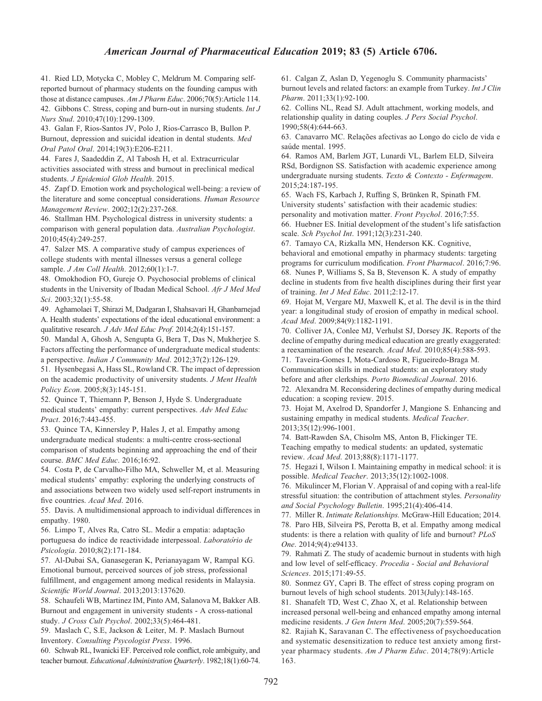# American Journal of Pharmaceutical Education 2019; 83 (5) Article 6706.

41. Ried LD, Motycka C, Mobley C, Meldrum M. Comparing selfreported burnout of pharmacy students on the founding campus with those at distance campuses. Am J Pharm Educ. 2006;70(5):Article 114. 42. Gibbons C. Stress, coping and burn-out in nursing students. Int J Nurs Stud. 2010;47(10):1299-1309.

43. Galan F, Rios-Santos JV, Polo J, Rios-Carrasco B, Bullon P. Burnout, depression and suicidal ideation in dental students. Med Oral Patol Oral. 2014;19(3):E206-E211.

44. Fares J, Saadeddin Z, Al Tabosh H, et al. Extracurricular activities associated with stress and burnout in preclinical medical students. J Epidemiol Glob Health. 2015.

45. Zapf D. Emotion work and psychological well-being: a review of the literature and some conceptual considerations. Human Resource Management Review. 2002;12(2):237-268.

46. Stallman HM. Psychological distress in university students: a comparison with general population data. Australian Psychologist. 2010;45(4):249-257.

47. Salzer MS. A comparative study of campus experiences of college students with mental illnesses versus a general college sample. *J Am Coll Health.* 2012;60(1):1-7.

48. Omokhodion FO, Gureje O. Psychosocial problems of clinical students in the University of Ibadan Medical School. Afr J Med Med Sci. 2003;32(1):55-58.

49. Aghamolaei T, Shirazi M, Dadgaran I, Shahsavari H, Ghanbarnejad A. Health students' expectations of the ideal educational environment: a qualitative research. J Adv Med Educ Prof. 2014;2(4):151-157.

50. Mandal A, Ghosh A, Sengupta G, Bera T, Das N, Mukherjee S. Factors affecting the performance of undergraduate medical students: a perspective. Indian J Community Med. 2012;37(2):126-129.

51. Hysenbegasi A, Hass SL, Rowland CR. The impact of depression on the academic productivity of university students. J Ment Health Policy Econ. 2005;8(3):145-151.

52. Quince T, Thiemann P, Benson J, Hyde S. Undergraduate medical students' empathy: current perspectives. Adv Med Educ Pract. 2016;7:443-455.

53. Quince TA, Kinnersley P, Hales J, et al. Empathy among undergraduate medical students: a multi-centre cross-sectional comparison of students beginning and approaching the end of their course. BMC Med Educ. 2016;16:92.

54. Costa P, de Carvalho-Filho MA, Schweller M, et al. Measuring medical students' empathy: exploring the underlying constructs of and associations between two widely used self-report instruments in five countries. Acad Med. 2016.

55. Davis. A multidimensional approach to individual differences in empathy. 1980.

56. Limpo T, Alves Ra, Catro SL. Medir a empatia: adaptação portuguesa do índice de reactividade interpessoal. Laboratório de Psicologia. 2010;8(2):171-184.

57. Al-Dubai SA, Ganasegeran K, Perianayagam W, Rampal KG. Emotional burnout, perceived sources of job stress, professional fulfillment, and engagement among medical residents in Malaysia. Scientific World Journal. 2013;2013:137620.

58. Schaufeli WB, Martinez IM, Pinto AM, Salanova M, Bakker AB. Burnout and engagement in university students - A cross-national study. J Cross Cult Psychol. 2002;33(5):464-481.

59. Maslach C, S.E, Jackson & Leiter, M. P. Maslach Burnout Inventory. Consulting Psycologist Press. 1996.

60. Schwab RL, Iwanicki EF. Perceived role conflict, role ambiguity, and teacher burnout. Educational Administration Quarterly. 1982;18(1):60-74.

61. Calgan Z, Aslan D, Yegenoglu S. Community pharmacists' burnout levels and related factors: an example from Turkey. Int J Clin Pharm. 2011;33(1):92-100.

62. Collins NL, Read SJ. Adult attachment, working models, and relationship quality in dating couples. J Pers Social Psychol. 1990;58(4):644-663.

63. Canavarro MC. Relações afectivas ao Longo do ciclo de vida e saúde mental. 1995.

64. Ramos AM, Barlem JGT, Lunardi VL, Barlem ELD, Silveira RSd, Bordignon SS. Satisfaction with academic experience among undergraduate nursing students. Texto & Contexto - Enfermagem. 2015;24:187-195.

65. Wach FS, Karbach J, Ruffing S, Brünken R, Spinath FM. University students' satisfaction with their academic studies: personality and motivation matter. Front Psychol. 2016;7:55. 66. Huebner ES. Initial development of the student's life satisfaction scale. Sch Psychol Int. 1991;12(3):231-240.

67. Tamayo CA, Rizkalla MN, Henderson KK. Cognitive, behavioral and emotional empathy in pharmacy students: targeting programs for curriculum modification. Front Pharmacol. 2016;7:96. 68. Nunes P, Williams S, Sa B, Stevenson K. A study of empathy decline in students from five health disciplines during their first year of training. Int J Med Educ. 2011;2:12-17.

69. Hojat M, Vergare MJ, Maxwell K, et al. The devil is in the third year: a longitudinal study of erosion of empathy in medical school. Acad Med. 2009;84(9):1182-1191.

70. Colliver JA, Conlee MJ, Verhulst SJ, Dorsey JK. Reports of the decline of empathy during medical education are greatly exaggerated: a reexamination of the research. Acad Med. 2010;85(4):588-593.

71. Taveira-Gomes I, Mota-Cardoso R, Figueiredo-Braga M. Communication skills in medical students: an exploratory study before and after clerkships. Porto Biomedical Journal. 2016.

72. Alexandra M. Reconsidering declines of empathy during medical education: a scoping review. 2015.

73. Hojat M, Axelrod D, Spandorfer J, Mangione S. Enhancing and sustaining empathy in medical students. Medical Teacher. 2013;35(12):996-1001.

74. Batt-Rawden SA, Chisolm MS, Anton B, Flickinger TE. Teaching empathy to medical students: an updated, systematic review. Acad Med. 2013;88(8):1171-1177.

75. Hegazi I, Wilson I. Maintaining empathy in medical school: it is possible. Medical Teacher. 2013;35(12):1002-1008.

76. Mikulincer M, Florian V. Appraisal of and coping with a real-life stressful situation: the contribution of attachment styles. Personality and Social Psychology Bulletin. 1995;21(4):406-414.

77. Miller R. Intimate Relationships. McGraw-Hill Education; 2014. 78. Paro HB, Silveira PS, Perotta B, et al. Empathy among medical students: is there a relation with quality of life and burnout? PLoS One. 2014;9(4):e94133.

79. Rahmati Z. The study of academic burnout in students with high and low level of self-efficacy. Procedia - Social and Behavioral Sciences. 2015;171:49-55.

80. Sonmez GY, Capri B. The effect of stress coping program on burnout levels of high school students. 2013(July):148-165.

81. Shanafelt TD, West C, Zhao X, et al. Relationship between increased personal well-being and enhanced empathy among internal medicine residents. J Gen Intern Med. 2005;20(7):559-564.

82. Rajiah K, Saravanan C. The effectiveness of psychoeducation and systematic desensitization to reduce test anxiety among firstyear pharmacy students. Am J Pharm Educ. 2014;78(9):Article 163.